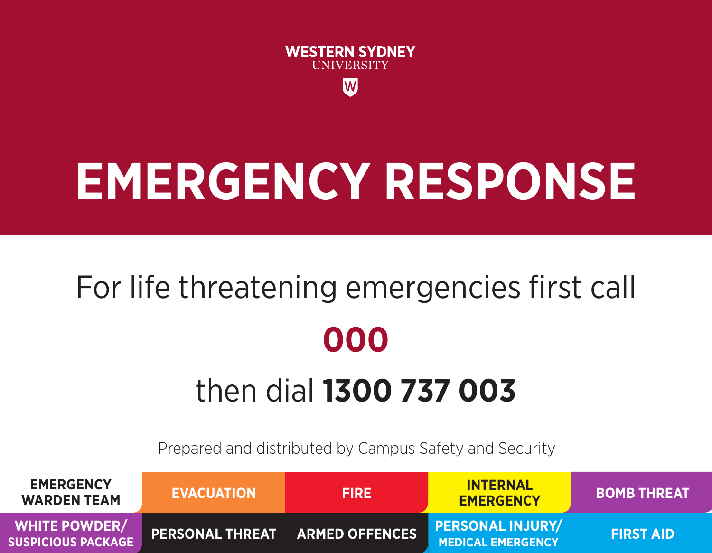

# **EMERGENCY RESPONSE**

# For life threatening emergencies first call **000** then dial **1300 737 003**

Prepared and distributed by Campus Safety and Security

| <b>EMERGENCY</b><br><b>WARDEN TEAM</b>            | <b>EVACUATION</b>                     | <b>FIRE</b> | <b>INTERNAL</b><br><b>EMERGENCY</b>                 | <b>BOMB THREAT</b> |
|---------------------------------------------------|---------------------------------------|-------------|-----------------------------------------------------|--------------------|
| <b>WHITE POWDER/</b><br><b>SUSPICIOUS PACKAGE</b> | <b>PERSONAL THREAT ARMED OFFENCES</b> |             | <b>PERSONAL INJURY/</b><br><b>MEDICAL EMERGENCY</b> | <b>FIRST AID</b>   |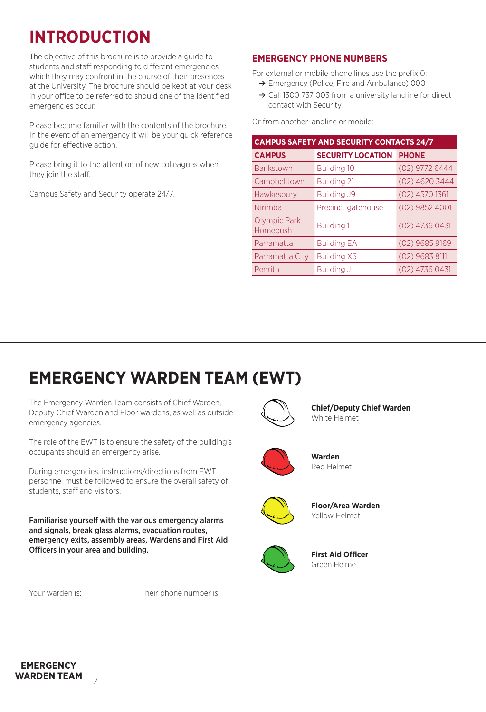# **INTRODUCTION**

The objective of this brochure is to provide a guide to students and staff responding to different emergencies which they may confront in the course of their presences at the University. The brochure should be kept at your desk in your office to be referred to should one of the identified emergencies occur.

Please become familiar with the contents of the brochure. In the event of an emergency it will be your quick reference guide for effective action.

Please bring it to the attention of new colleagues when they join the staff.

Campus Safety and Security operate 24/7.

### **EMERGENCY PHONE NUMBERS**

For external or mobile phone lines use the prefix 0: **≥** Emergency (Police, Fire and Ambulance) 000

**≥** Call 1300 737 003 from a university landline for direct contact with Security.

Or from another landline or mobile:

| <b>CAMPUS SAFETY AND SECURITY CONTACTS 24/7</b> |                          |                  |  |  |
|-------------------------------------------------|--------------------------|------------------|--|--|
| <b>CAMPUS</b>                                   | <b>SECURITY LOCATION</b> | <b>PHONE</b>     |  |  |
| <b>Bankstown</b>                                | <b>Building 10</b>       | $(02)$ 9772 6444 |  |  |
| Campbelltown                                    | <b>Building 21</b>       | (02) 4620 3444   |  |  |
| Hawkesbury                                      | <b>Building J9</b>       | $(02)$ 4570 1361 |  |  |
| Nirimba                                         | Precinct gatehouse       | $(02)$ 9852 4001 |  |  |
| <b>Olympic Park</b><br>Homebush                 | <b>Building 1</b>        | (02) 4736 0431   |  |  |
| Parramatta                                      | <b>Building EA</b>       | $(02)$ 9685 9169 |  |  |
| Parramatta City                                 | <b>Building X6</b>       | (02) 9683 8111   |  |  |
| Penrith                                         | <b>Building J</b>        | $(02)$ 4736 0431 |  |  |

# **EMERGENCY WARDEN TEAM (EWT)**

The Emergency Warden Team consists of Chief Warden, Deputy Chief Warden and Floor wardens, as well as outside emergency agencies.

The role of the EWT is to ensure the safety of the building's occupants should an emergency arise.

During emergencies, instructions/directions from EWT personnel must be followed to ensure the overall safety of students, staff and visitors.

Familiarise yourself with the various emergency alarms and signals, break glass alarms, evacuation routes, emergency exits, assembly areas, Wardens and First Aid Officers in your area and building.

Your warden is: Their phone number is:



**Chief/Deputy Chief Warden** White Helmet



**Warden** Red Helmet



**Floor/Area Warden** Yellow Helmet



**First Aid Officer** Green Helmet

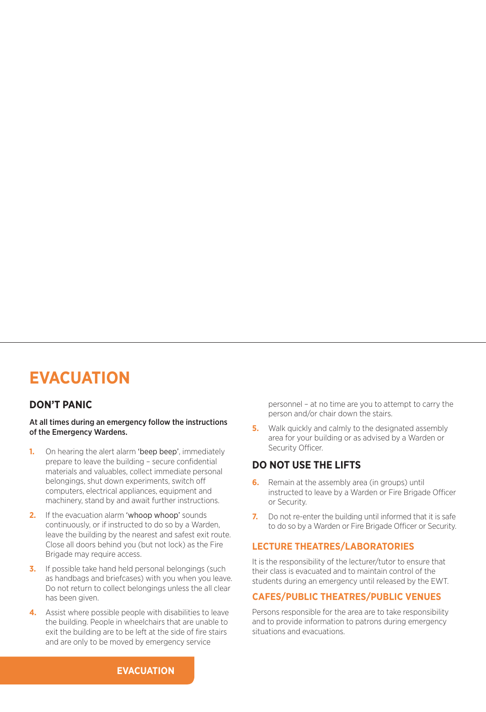# **EVACUATION**

### **DON'T PANIC**

At all times during an emergency follow the instructions of the Emergency Wardens.

- **1.** On hearing the alert alarm 'beep beep', immediately prepare to leave the building – secure confidential materials and valuables, collect immediate personal belongings, shut down experiments, switch off computers, electrical appliances, equipment and machinery, stand by and await further instructions.
- **2.** If the evacuation alarm 'whoop whoop' sounds continuously, or if instructed to do so by a Warden, leave the building by the nearest and safest exit route. Close all doors behind you (but not lock) as the Fire Brigade may require access.
- **3.** If possible take hand held personal belongings (such as handbags and briefcases) with you when you leave. Do not return to collect belongings unless the all clear has been given.
- **4.** Assist where possible people with disabilities to leave the building. People in wheelchairs that are unable to exit the building are to be left at the side of fire stairs and are only to be moved by emergency service

personnel – at no time are you to attempt to carry the person and/or chair down the stairs.

**5.** Walk quickly and calmly to the designated assembly area for your building or as advised by a Warden or Security Officer.

### **DO NOT USE THE LIFTS**

- **6.** Remain at the assembly area (in groups) until instructed to leave by a Warden or Fire Brigade Officer or Security.
- **7.** Do not re-enter the building until informed that it is safe to do so by a Warden or Fire Brigade Officer or Security.

### **LECTURE THEATRES/LABORATORIES**

It is the responsibility of the lecturer/tutor to ensure that their class is evacuated and to maintain control of the students during an emergency until released by the EWT.

### **CAFES/PUBLIC THEATRES/PUBLIC VENUES**

Persons responsible for the area are to take responsibility and to provide information to patrons during emergency situations and evacuations.

**EVACUATION**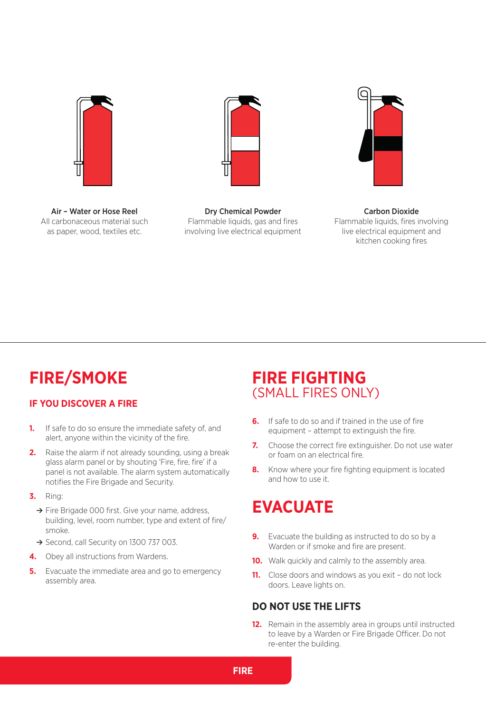



Air – Water or Hose Reel All carbonaceous material such as paper, wood, textiles etc.

Dry Chemical Powder Flammable liquids, gas and fires involving live electrical equipment

Carbon Dioxide Flammable liquids, fires involving live electrical equipment and kitchen cooking fires

# **FIRE/SMOKE**

### **IF YOU DISCOVER A FIRE**

- **1.** If safe to do so ensure the immediate safety of, and alert, anyone within the vicinity of the fire.
- **2.** Raise the alarm if not already sounding, using a break glass alarm panel or by shouting 'Fire, fire, fire' if a panel is not available. The alarm system automatically notifies the Fire Brigade and Security.
- **3.** Ring:
	- **≥** Fire Brigade 000 first. Give your name, address, building, level, room number, type and extent of fire/ smoke.
	- **≥** Second, call Security on 1300 737 003.
- **4.** Obey all instructions from Wardens.
- **5.** Evacuate the immediate area and go to emergency assembly area.

# **FIRE FIGHTING**  (SMALL FIRES ONLY)

- **6.** If safe to do so and if trained in the use of fire equipment – attempt to extinguish the fire.
- **7.** Choose the correct fire extinguisher. Do not use water or foam on an electrical fire.
- **8.** Know where your fire fighting equipment is located and how to use it.

# **EVACUATE**

- **9.** Evacuate the building as instructed to do so by a Warden or if smoke and fire are present.
- **10.** Walk quickly and calmly to the assembly area.
- **11.** Close doors and windows as you exit do not lock doors. Leave lights on.

### **DO NOT USE THE LIFTS**

**12.** Remain in the assembly area in groups until instructed to leave by a Warden or Fire Brigade Officer. Do not re-enter the building.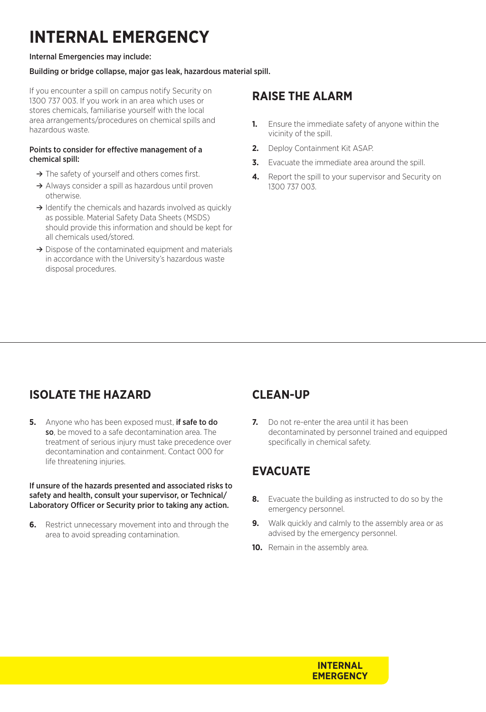# **INTERNAL EMERGENCY**

#### Internal Emergencies may include:

### Building or bridge collapse, major gas leak, hazardous material spill.

If you encounter a spill on campus notify Security on 1300 737 003. If you work in an area which uses or stores chemicals, familiarise yourself with the local area arrangements/procedures on chemical spills and hazardous waste.

#### Points to consider for effective management of a chemical spill:

- **≥** The safety of yourself and others comes first.
- **≥** Always consider a spill as hazardous until proven otherwise.
- **≥** Identify the chemicals and hazards involved as quickly as possible. Material Safety Data Sheets (MSDS) should provide this information and should be kept for all chemicals used/stored.
- **≥** Dispose of the contaminated equipment and materials in accordance with the University's hazardous waste disposal procedures.

## **RAISE THE ALARM**

- **1.** Ensure the immediate safety of anyone within the vicinity of the spill.
- **2.** Deploy Containment Kit ASAP.
- **3.** Evacuate the immediate area around the spill.
- **4.** Report the spill to your supervisor and Security on 1300 737 003.

# **ISOLATE THE HAZARD**

**5.** Anyone who has been exposed must, if safe to do so, be moved to a safe decontamination area. The treatment of serious injury must take precedence over decontamination and containment. Contact 000 for life threatening injuries.

#### If unsure of the hazards presented and associated risks to safety and health, consult your supervisor, or Technical/ Laboratory Officer or Security prior to taking any action.

**6.** Restrict unnecessary movement into and through the area to avoid spreading contamination.

## **CLEAN-UP**

**7.** Do not re-enter the area until it has been decontaminated by personnel trained and equipped specifically in chemical safety.

# **EVACUATE**

- **8.** Evacuate the building as instructed to do so by the emergency personnel.
- **9.** Walk quickly and calmly to the assembly area or as advised by the emergency personnel.
- **10.** Remain in the assembly area.

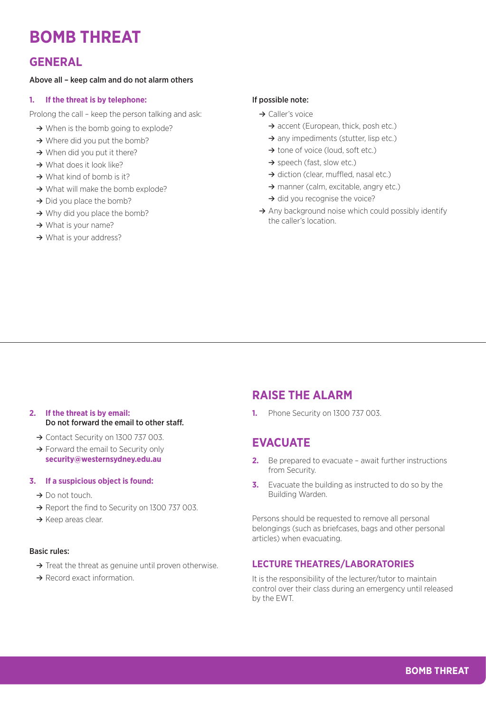# **BOMB THREAT**

### **GENERAL**

#### Above all – keep calm and do not alarm others

#### **1. If the threat is by telephone:**

Prolong the call – keep the person talking and ask:

- **≥** When is the bomb going to explode?
- **≥** Where did you put the bomb?
- **≥** When did you put it there?
- **≥** What does it look like?
- **≥** What kind of bomb is it?
- **≥** What will make the bomb explode?
- **≥** Did you place the bomb?
- → Why did you place the bomb?
- **≥** What is your name?
- **≥** What is your address?

#### If possible note:

- **≥** Caller's voice
	- **≥** accent (European, thick, posh etc.)
	- → any impediments (stutter, lisp etc.)
	- **≥** tone of voice (loud, soft etc.)
	- **≥** speech (fast, slow etc.)
	- **≥** diction (clear, muffled, nasal etc.)
	- **≥** manner (calm, excitable, angry etc.)
	- **≥** did you recognise the voice?
- **≥** Any background noise which could possibly identify the caller's location.

- **2. If the threat is by email:**  Do not forward the email to other staff.
	- **≥** Contact Security on 1300 737 003.
	- **≥** Forward the email to Security only **security@westernsydney.edu.au**

#### **3. If a suspicious object is found:**

- **≥** Do not touch.
- **≥** Report the find to Security on 1300 737 003.
- **≥** Keep areas clear.

#### Basic rules:

- **≥** Treat the threat as genuine until proven otherwise.
- **≥** Record exact information.

### **RAISE THE ALARM**

**1.** Phone Security on 1300 737 003.

### **EVACUATE**

- **2.** Be prepared to evacuate await further instructions from Security.
- **3.** Evacuate the building as instructed to do so by the Building Warden.

Persons should be requested to remove all personal belongings (such as briefcases, bags and other personal articles) when evacuating.

### **LECTURE THEATRES/LABORATORIES**

It is the responsibility of the lecturer/tutor to maintain control over their class during an emergency until released by the EWT.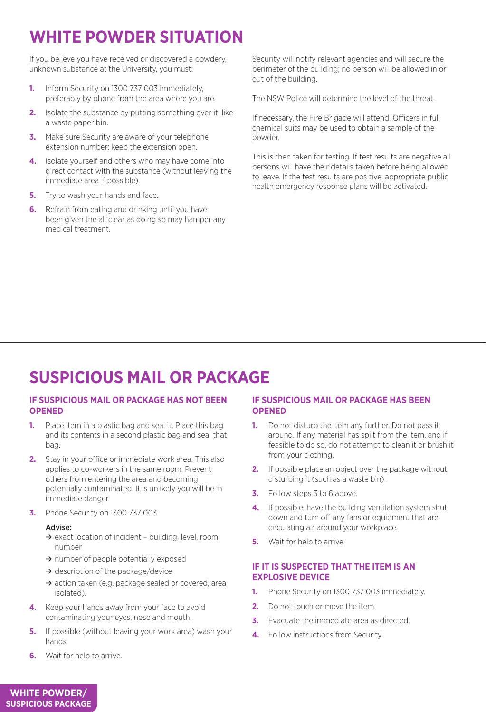# **WHITE POWDER SITUATION**

If you believe you have received or discovered a powdery, unknown substance at the University, you must:

- **1.** Inform Security on 1300 737 003 immediately, preferably by phone from the area where you are.
- **2.** Isolate the substance by putting something over it, like a waste paper bin.
- **3.** Make sure Security are aware of your telephone extension number; keep the extension open.
- **4.** Isolate yourself and others who may have come into direct contact with the substance (without leaving the immediate area if possible).
- **5.** Try to wash your hands and face.
- **6.** Refrain from eating and drinking until you have been given the all clear as doing so may hamper any medical treatment.

Security will notify relevant agencies and will secure the perimeter of the building; no person will be allowed in or out of the building.

The NSW Police will determine the level of the threat.

If necessary, the Fire Brigade will attend. Officers in full chemical suits may be used to obtain a sample of the powder.

This is then taken for testing. If test results are negative all persons will have their details taken before being allowed to leave. If the test results are positive, appropriate public health emergency response plans will be activated.

# **SUSPICIOUS MAIL OR PACKAGE**

#### **IF SUSPICIOUS MAIL OR PACKAGE HAS NOT BEEN OPENED**

- **1.** Place item in a plastic bag and seal it. Place this bag and its contents in a second plastic bag and seal that bag.
- **2.** Stay in your office or immediate work area. This also applies to co-workers in the same room. Prevent others from entering the area and becoming potentially contaminated. It is unlikely you will be in immediate danger.
- **3.** Phone Security on 1300 737 003.

#### Advise:

- **≥** exact location of incident building, level, room number
- **≥** number of people potentially exposed
- **≥** description of the package/device
- **≥** action taken (e.g. package sealed or covered, area isolated).
- **4.** Keep your hands away from your face to avoid contaminating your eyes, nose and mouth.
- **5.** If possible (without leaving your work area) wash your hands.
- **6.** Wait for help to arrive.

### **IF SUSPICIOUS MAIL OR PACKAGE HAS BEEN OPENED**

- **1.** Do not disturb the item any further. Do not pass it around. If any material has spilt from the item, and if feasible to do so, do not attempt to clean it or brush it from your clothing.
- **2.** If possible place an object over the package without disturbing it (such as a waste bin).
- **3.** Follow steps 3 to 6 above.
- **4.** If possible, have the building ventilation system shut down and turn off any fans or equipment that are circulating air around your workplace.
- **5.** Wait for help to arrive.

### **IF IT IS SUSPECTED THAT THE ITEM IS AN EXPLOSIVE DEVICE**

- **1.** Phone Security on 1300 737 003 immediately.
- **2.** Do not touch or move the item.
- **3.** Evacuate the immediate area as directed.
- **4.** Follow instructions from Security.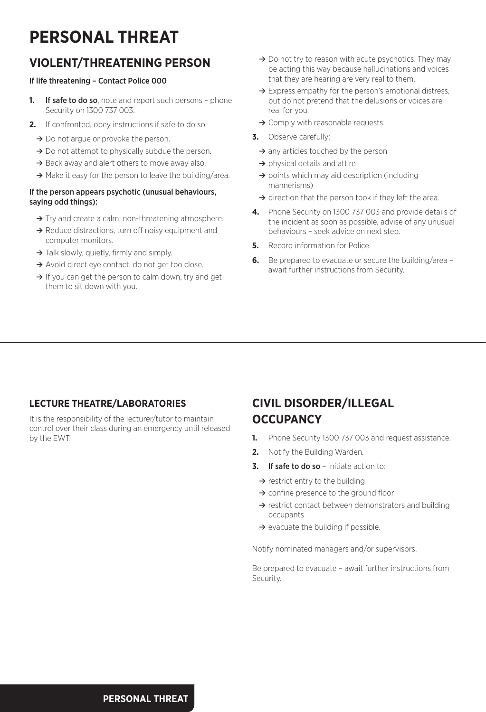# **PERSONAL THREAT**

# **VIOLENT/THREATENING PERSON**

### If life threatening – Contact Police 000

- **1.** If safe to do so, note and report such persons phone Security on 1300 737 003.
- **2.** If confronted, obey instructions if safe to do so:
	- **≥** Do not argue or provoke the person.
	- **≥** Do not attempt to physically subdue the person.
	- → Back away and alert others to move away also.
	- **≥** Make it easy for the person to leave the building/area.

#### If the person appears psychotic (unusual behaviours, saying odd things):

- **≥** Try and create a calm, non-threatening atmosphere.
- **≥** Reduce distractions, turn off noisy equipment and computer monitors.
- **≥** Talk slowly, quietly, firmly and simply.
- **≥** Avoid direct eye contact, do not get too close.
- **≥** If you can get the person to calm down, try and get them to sit down with you.
- **≥** Do not try to reason with acute psychotics. They may be acting this way because hallucinations and voices that they are hearing are very real to them.
- **≥** Express empathy for the person's emotional distress, but do not pretend that the delusions or voices are real for you.
- **≥** Comply with reasonable requests.
- **3.** Observe carefully:
	- **≥** any articles touched by the person
	- **≥** physical details and attire
	- **≥** points which may aid description (including mannerisms)
	- **≥** direction that the person took if they left the area.
- **4.** Phone Security on 1300 737 003 and provide details of the incident as soon as possible, advise of any unusual behaviours – seek advice on next step.
- **5.** Record information for Police.
- **6.** Be prepared to evacuate or secure the building/area await further instructions from Security.

### **LECTURE THEATRE/LABORATORIES**

It is the responsibility of the lecturer/tutor to maintain control over their class during an emergency until released by the EWT.

# **CIVIL DISORDER/ILLEGAL OCCUPANCY**

- **1.** Phone Security 1300 737 003 and request assistance.
- **2.** Notify the Building Warden.
- **3.** If safe to do so initiate action to:
	- **≥** restrict entry to the building
	- **≥** confine presence to the ground floor
	- **≥** restrict contact between demonstrators and building occupants
	- **≥** evacuate the building if possible.

Notify nominated managers and/or supervisors.

Be prepared to evacuate – await further instructions from Security.

**PERSONAL THREAT**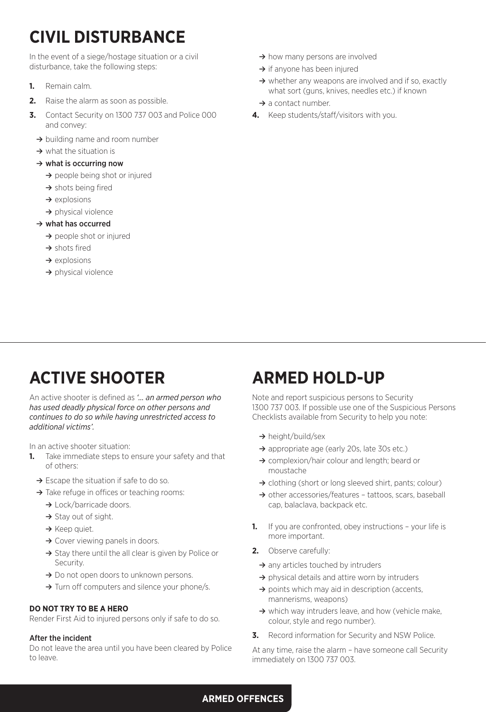# **CIVIL DISTURBANCE**

In the event of a siege/hostage situation or a civil disturbance, take the following steps:

- **1.** Remain calm.
- **2.** Raise the alarm as soon as possible.
- **3.** Contact Security on 1300 737 003 and Police 000 and convey:
	- **≥** building name and room number
	- **≥** what the situation is
	- **≥** what is occurring now
		- **≥** people being shot or injured
		- **≥** shots being fired
		- **≥** explosions
		- **≥** physical violence

### **≥** what has occurred

- **≥** people shot or injured
- **≥** shots fired
- **≥** explosions
- **≥** physical violence
- **≥** how many persons are involved
- **≥** if anyone has been injured
- **≥** whether any weapons are involved and if so, exactly what sort (guns, knives, needles etc.) if known
- **≥** a contact number.
- **4.** Keep students/staff/visitors with you.

# **ACTIVE SHOOTER**

An active shooter is defined as *'… an armed person who has used deadly physical force on other persons and continues to do so while having unrestricted access to additional victims'.*

In an active shooter situation:

- **1.** Take immediate steps to ensure your safety and that of others:
	- **≥** Escape the situation if safe to do so.
	- **≥** Take refuge in offices or teaching rooms:
		- **≥** Lock/barricade doors.
		- **≥** Stay out of sight.
		- **≥** Keep quiet.
		- **≥** Cover viewing panels in doors.
		- **≥** Stay there until the all clear is given by Police or Security.
		- **≥** Do not open doors to unknown persons.
		- **≥** Turn off computers and silence your phone/s.

### **DO NOT TRY TO BE A HERO**

Render First Aid to injured persons only if safe to do so.

#### After the incident

Do not leave the area until you have been cleared by Police to leave.

# **ARMED HOLD-UP**

Note and report suspicious persons to Security 1300 737 003. If possible use one of the Suspicious Persons Checklists available from Security to help you note:

- **≥** height/build/sex
- **≥** appropriate age (early 20s, late 30s etc.)
- **≥** complexion/hair colour and length; beard or moustache
- **≥** clothing (short or long sleeved shirt, pants; colour)
- **≥** other accessories/features tattoos, scars, baseball cap, balaclava, backpack etc.
- **1.** If you are confronted, obey instructions your life is more important.
- **2.** Observe carefully:
	- **≥** any articles touched by intruders
	- **≥** physical details and attire worn by intruders
	- **≥** points which may aid in description (accents, mannerisms, weapons)
	- **≥** which way intruders leave, and how (vehicle make, colour, style and rego number).
- **3.** Record information for Security and NSW Police.

At any time, raise the alarm – have someone call Security immediately on 1300 737 003.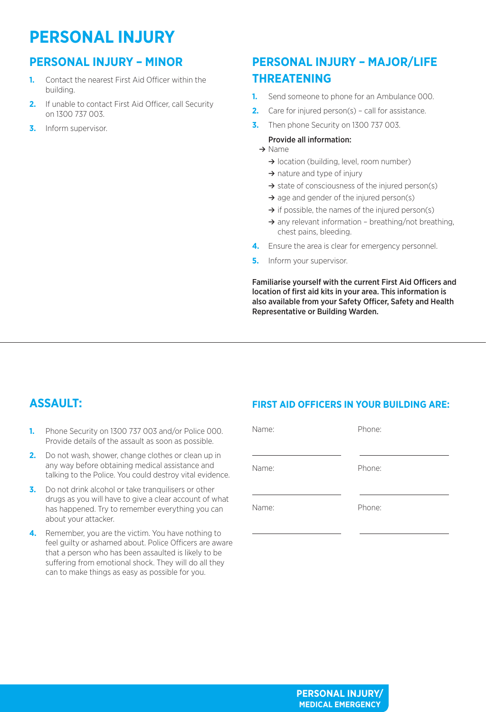# **PERSONAL INJURY**

# **PERSONAL INJURY – MINOR**

- **1.** Contact the nearest First Aid Officer within the building.
- **2.** If unable to contact First Aid Officer, call Security on 1300 737 003.
- **3.** Inform supervisor.

# **PERSONAL INJURY – MAJOR/LIFE THREATENING**

- **1.** Send someone to phone for an Ambulance 000.
- **2.** Care for injured person(s) call for assistance.
- **3.** Then phone Security on 1300 737 003.

### Provide all information:

- **≥** Name
	- **≥** location (building, level, room number)
	- **≥** nature and type of injury
	- **≥** state of consciousness of the injured person(s)
	- **≥** age and gender of the injured person(s)
	- **≥** if possible, the names of the injured person(s)
	- **≥** any relevant information breathing/not breathing, chest pains, bleeding.
- **4.** Ensure the area is clear for emergency personnel.
- **5.** Inform your supervisor.

Familiarise yourself with the current First Aid Officers and location of first aid kits in your area. This information is also available from your Safety Officer, Safety and Health Representative or Building Warden.

# **ASSAULT:**

- **1.** Phone Security on 1300 737 003 and/or Police 000. Provide details of the assault as soon as possible.
- **2.** Do not wash, shower, change clothes or clean up in any way before obtaining medical assistance and talking to the Police. You could destroy vital evidence.
- **3.** Do not drink alcohol or take tranquilisers or other drugs as you will have to give a clear account of what has happened. Try to remember everything you can about your attacker.
- **4.** Remember, you are the victim. You have nothing to feel guilty or ashamed about. Police Officers are aware that a person who has been assaulted is likely to be suffering from emotional shock. They will do all they can to make things as easy as possible for you.

## **FIRST AID OFFICERS IN YOUR BUILDING ARE:**

| Name: | Phone: |
|-------|--------|
| Name: | Phone: |
| Name: | Phone: |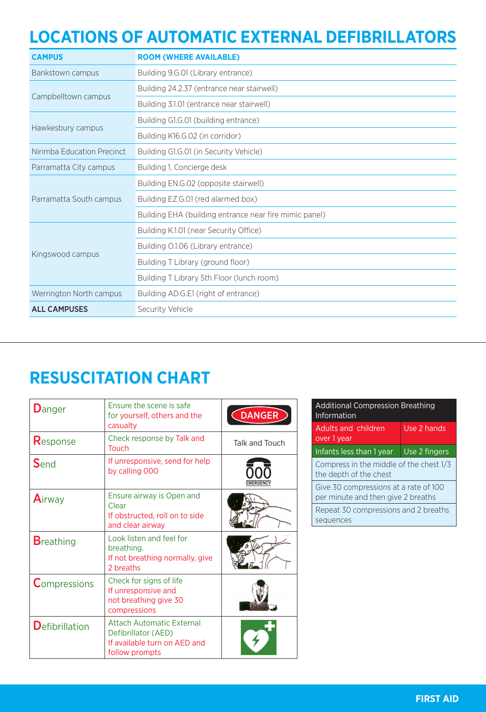# **LOCATIONS OF AUTOMATIC EXTERNAL DEFIBRILLATORS**

| <b>CAMPUS</b>              | <b>ROOM (WHERE AVAILABLE)</b>                          |  |
|----------------------------|--------------------------------------------------------|--|
| Bankstown campus           | Building 9.G.01 (Library entrance)                     |  |
| Campbelltown campus        | Building 24.2.37 (entrance near stairwell)             |  |
|                            | Building 3.1.01 (entrance near stairwell)              |  |
| Hawkesbury campus          | Building G1.G.01 (building entrance)                   |  |
|                            | Building K16.G.02 (in corridor)                        |  |
| Nirimba Education Precinct | Building G1.G.01 (in Security Vehicle)                 |  |
| Parramatta City campus     | Building 1, Concierge desk                             |  |
|                            | Building EN.G.02 (opposite stairwell)                  |  |
| Parramatta South campus    | Building EZ.G.01 (red alarmed box)                     |  |
|                            | Building EHA (building entrance near fire mimic panel) |  |
|                            | Building K.1.01 (near Security Office)                 |  |
|                            | Building O.1.06 (Library entrance)                     |  |
| Kingswood campus           | Building T Library (ground floor)                      |  |
|                            | Building T Library 5th Floor (lunch room)              |  |
| Werrington North campus    | Building AD.G.E1 (right of entrance)                   |  |
| <b>ALL CAMPUSES</b>        | Security Vehicle                                       |  |

# **RESUSCITATION CHART**

| <b>D</b> anger         | <b>Ensure the scene is safe</b><br>for yourself, others and the<br>casualty                               | <b>DANGER</b>  |
|------------------------|-----------------------------------------------------------------------------------------------------------|----------------|
| Response               | Check response by Talk and<br>Touch                                                                       | Talk and Touch |
| Send                   | If unresponsive, send for help<br>by calling 000                                                          |                |
| Airway                 | Ensure airway is Open and<br>Clear<br>If obstructed, roll on to side<br>and clear airway                  |                |
| <b>B</b> reathing      | Look listen and feel for<br>breathing.<br>If not breathing normally, give<br>2 breaths                    |                |
| <b>Compressions</b>    | Check for signs of life<br>If unresponsive and<br>not breathing give 30<br>compressions                   |                |
| <b>D</b> efibrillation | <b>Attach Automatic External</b><br>Defibrillator (AED)<br>If available turn on AED and<br>follow prompts |                |

| <b>Additional Compression Breathing</b><br>Information                      |               |  |
|-----------------------------------------------------------------------------|---------------|--|
| Adults and children<br>over 1 year                                          | Use 2 hands   |  |
| Infants less than 1 year                                                    | Use 2 fingers |  |
| Compress in the middle of the chest 1/3<br>the depth of the chest           |               |  |
| Give 30 compressions at a rate of 100<br>per minute and then give 2 breaths |               |  |
| Repeat 30 compressions and 2 breaths<br>sequences                           |               |  |